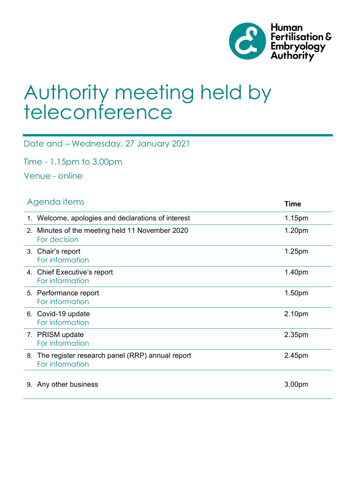

# Authority meeting held by teleconference

Date and – Wednesday, 27 January 2021

Time - 1.15pm to 3.00pm

Venue - online

|    | Agenda <i>items</i>                                                   | <b>Time</b> |
|----|-----------------------------------------------------------------------|-------------|
|    | 1. Welcome, apologies and declarations of interest                    | 1.15pm      |
|    | 2. Minutes of the meeting held 11 November 2020<br>For decision       | 1.20pm      |
|    | 3. Chair's report<br>For information                                  | 1.25pm      |
|    | 4. Chief Executive's report<br>For information                        | 1.40pm      |
|    | 5. Performance report<br>For information                              | 1.50pm      |
|    | 6. Covid-19 update<br>For information                                 | 2.10pm      |
|    | 7. PRISM update<br>For information                                    | 2.35pm      |
|    | 8. The register research panel (RRP) annual report<br>For information | 2.45pm      |
| 9. | Any other business                                                    | 3.00pm      |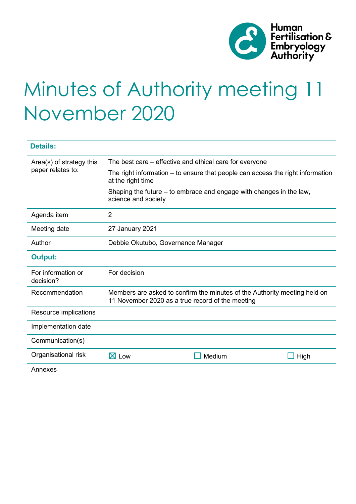

# Minutes of Authority meeting 11 November 2020

| <b>Details:</b>                 |                                                                                                                               |        |      |  |  |  |  |
|---------------------------------|-------------------------------------------------------------------------------------------------------------------------------|--------|------|--|--|--|--|
| Area(s) of strategy this        | The best care – effective and ethical care for everyone                                                                       |        |      |  |  |  |  |
| paper relates to:               | The right information – to ensure that people can access the right information<br>at the right time                           |        |      |  |  |  |  |
|                                 | Shaping the future – to embrace and engage with changes in the law,<br>science and society                                    |        |      |  |  |  |  |
| Agenda item                     | $\overline{2}$                                                                                                                |        |      |  |  |  |  |
| Meeting date                    | 27 January 2021                                                                                                               |        |      |  |  |  |  |
| Author                          | Debbie Okutubo, Governance Manager                                                                                            |        |      |  |  |  |  |
| <b>Output:</b>                  |                                                                                                                               |        |      |  |  |  |  |
| For information or<br>decision? | For decision                                                                                                                  |        |      |  |  |  |  |
| Recommendation                  | Members are asked to confirm the minutes of the Authority meeting held on<br>11 November 2020 as a true record of the meeting |        |      |  |  |  |  |
| Resource implications           |                                                                                                                               |        |      |  |  |  |  |
| Implementation date             |                                                                                                                               |        |      |  |  |  |  |
| Communication(s)                |                                                                                                                               |        |      |  |  |  |  |
| Organisational risk             | $\boxtimes$ Low                                                                                                               | Medium | High |  |  |  |  |
|                                 |                                                                                                                               |        |      |  |  |  |  |

Annexes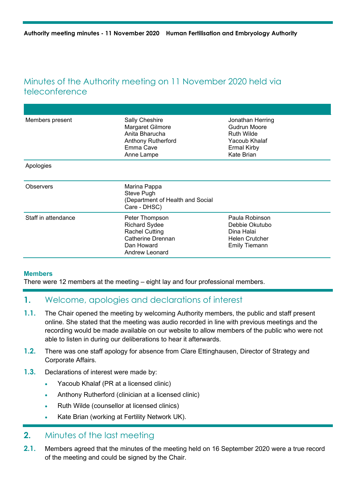## Minutes of the Authority meeting on 11 November 2020 held via teleconference

| Members present     | Sally Cheshire<br>Margaret Gilmore<br>Anita Bharucha<br><b>Anthony Rutherford</b><br>Emma Cave<br>Anne Lampe         | Jonathan Herring<br>Gudrun Moore<br><b>Ruth Wilde</b><br>Yacoub Khalaf<br><b>Ermal Kirby</b><br>Kate Brian |
|---------------------|----------------------------------------------------------------------------------------------------------------------|------------------------------------------------------------------------------------------------------------|
| Apologies           |                                                                                                                      |                                                                                                            |
| <b>Observers</b>    | Marina Pappa<br>Steve Pugh<br>(Department of Health and Social<br>Care - DHSC)                                       |                                                                                                            |
| Staff in attendance | Peter Thompson<br><b>Richard Sydee</b><br><b>Rachel Cutting</b><br>Catherine Drennan<br>Dan Howard<br>Andrew Leonard | Paula Robinson<br>Debbie Okutubo<br>Dina Halai<br><b>Helen Crutcher</b><br><b>Emily Tiemann</b>            |

#### **Members**

There were 12 members at the meeting – eight lay and four professional members.

## **1.** Welcome, apologies and declarations of interest

- **1.1.** The Chair opened the meeting by welcoming Authority members, the public and staff present online. She stated that the meeting was audio recorded in line with previous meetings and the recording would be made available on our website to allow members of the public who were not able to listen in during our deliberations to hear it afterwards.
- **1.2.** There was one staff apology for absence from Clare Ettinghausen, Director of Strategy and Corporate Affairs.
- **1.3.** Declarations of interest were made by:
	- Yacoub Khalaf (PR at a licensed clinic)
	- Anthony Rutherford (clinician at a licensed clinic)
	- Ruth Wilde (counsellor at licensed clinics)
	- Kate Brian (working at Fertility Network UK).

#### **2.** Minutes of the last meeting

**2.1.** Members agreed that the minutes of the meeting held on 16 September 2020 were a true record of the meeting and could be signed by the Chair.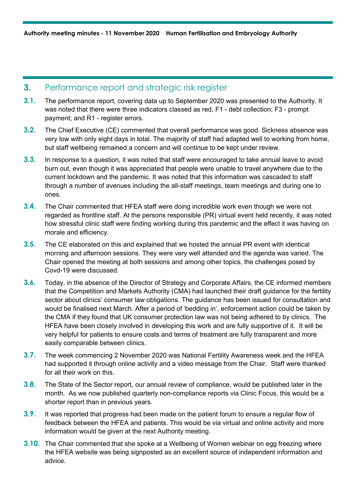#### **3.** Performance report and strategic risk register

- **3.1.** The performance report, covering data up to September 2020 was presented to the Authority. It was noted that there were three indicators classed as red, F1 - debt collection; F3 - prompt payment; and R1 - register errors.
- **3.2.** The Chief Executive (CE) commented that overall performance was good. Sickness absence was very low with only eight days in total. The majority of staff had adapted well to working from home, but staff wellbeing remained a concern and will continue to be kept under review.
- **3.3.** In response to a question, it was noted that staff were encouraged to take annual leave to avoid burn out, even though it was appreciated that people were unable to travel anywhere due to the current lockdown and the pandemic. It was noted that this information was cascaded to staff through a number of avenues including the all-staff meetings, team meetings and during one to ones.
- **3.4.** The Chair commented that HFEA staff were doing incredible work even though we were not regarded as frontline staff. At the persons responsible (PR) virtual event held recently, it was noted how stressful clinic staff were finding working during this pandemic and the effect it was having on morale and efficiency.
- **3.5.** The CE elaborated on this and explained that we hosted the annual PR event with identical morning and afternoon sessions. They were very well attended and the agenda was varied. The Chair opened the meeting at both sessions and among other topics, the challenges posed by Covd-19 were discussed.
- **3.6.** Today, in the absence of the Director of Strategy and Corporate Affairs, the CE informed members that the Competition and Markets Authority (CMA) had launched their draft guidance for the fertility sector about clinics' consumer law obligations. The guidance has been issued for consultation and would be finalised next March. After a period of 'bedding in', enforcement action could be taken by the CMA if they found that UK consumer protection law was not being adhered to by clinics. The HFEA have been closely involved in developing this work and are fully supportive of it. It will be very helpful for patients to ensure costs and terms of treatment are fully transparent and more easily comparable between clinics.
- **3.7.** The week commencing 2 November 2020 was National Fertility Awareness week and the HFEA had supported it through online activity and a video message from the Chair. Staff were thanked for all their work on this.
- **3.8.** The State of the Sector report, our annual review of compliance, would be published later in the month. As we now published quarterly non-compliance reports via Clinic Focus, this would be a shorter report than in previous years.
- **3.9.** It was reported that progress had been made on the patient forum to ensure a regular flow of feedback between the HFEA and patients. This would be via virtual and online activity and more information would be given at the next Authority meeting.
- **3.10.** The Chair commented that she spoke at a Wellbeing of Women webinar on egg freezing where the HFEA website was being signposted as an excellent source of independent information and advice.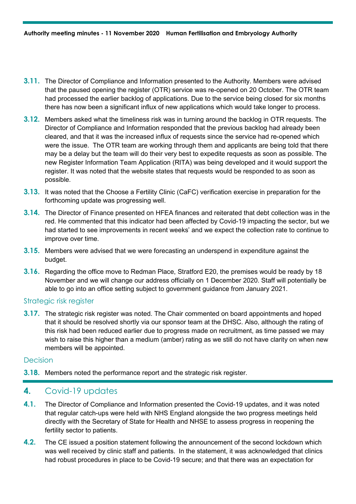- **3.11.** The Director of Compliance and Information presented to the Authority. Members were advised that the paused opening the register (OTR) service was re-opened on 20 October. The OTR team had processed the earlier backlog of applications. Due to the service being closed for six months there has now been a significant influx of new applications which would take longer to process.
- **3.12.** Members asked what the timeliness risk was in turning around the backlog in OTR requests. The Director of Compliance and Information responded that the previous backlog had already been cleared, and that it was the increased influx of requests since the service had re-opened which were the issue. The OTR team are working through them and applicants are being told that there may be a delay but the team will do their very best to expedite requests as soon as possible. The new Register Information Team Application (RITA) was being developed and it would support the register. It was noted that the website states that requests would be responded to as soon as possible.
- **3.13.** It was noted that the Choose a Fertility Clinic (CaFC) verification exercise in preparation for the forthcoming update was progressing well.
- **3.14.** The Director of Finance presented on HFEA finances and reiterated that debt collection was in the red. He commented that this indicator had been affected by Covid-19 impacting the sector, but we had started to see improvements in recent weeks' and we expect the collection rate to continue to improve over time.
- **3.15.** Members were advised that we were forecasting an underspend in expenditure against the budget.
- **3.16.** Regarding the office move to Redman Place, Stratford E20, the premises would be ready by 18 November and we will change our address officially on 1 December 2020. Staff will potentially be able to go into an office setting subject to government guidance from January 2021.

#### Strategic risk register

**3.17.** The strategic risk register was noted. The Chair commented on board appointments and hoped that it should be resolved shortly via our sponsor team at the DHSC. Also, although the rating of this risk had been reduced earlier due to progress made on recruitment, as time passed we may wish to raise this higher than a medium (amber) rating as we still do not have clarity on when new members will be appointed.

#### Decision

**3.18.** Members noted the performance report and the strategic risk register.

#### **4.** Covid-19 updates

- **4.1.** The Director of Compliance and Information presented the Covid-19 updates, and it was noted that regular catch-ups were held with NHS England alongside the two progress meetings held directly with the Secretary of State for Health and NHSE to assess progress in reopening the fertility sector to patients.
- **4.2.** The CE issued a position statement following the announcement of the second lockdown which was well received by clinic staff and patients. In the statement, it was acknowledged that clinics had robust procedures in place to be Covid-19 secure; and that there was an expectation for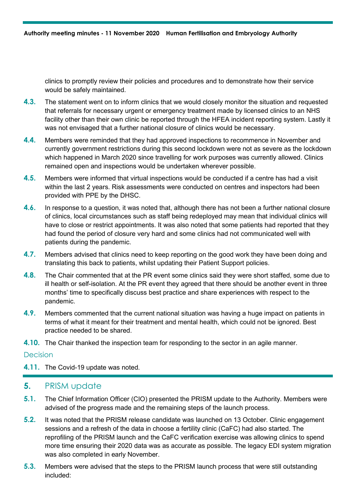clinics to promptly review their policies and procedures and to demonstrate how their service would be safely maintained.

- **4.3.** The statement went on to inform clinics that we would closely monitor the situation and requested that referrals for necessary urgent or emergency treatment made by licensed clinics to an NHS facility other than their own clinic be reported through the HFEA incident reporting system. Lastly it was not envisaged that a further national closure of clinics would be necessary.
- **4.4.** Members were reminded that they had approved inspections to recommence in November and currently government restrictions during this second lockdown were not as severe as the lockdown which happened in March 2020 since travelling for work purposes was currently allowed. Clinics remained open and inspections would be undertaken wherever possible.
- **4.5.** Members were informed that virtual inspections would be conducted if a centre has had a visit within the last 2 years. Risk assessments were conducted on centres and inspectors had been provided with PPE by the DHSC.
- **4.6.** In response to a question, it was noted that, although there has not been a further national closure of clinics, local circumstances such as staff being redeployed may mean that individual clinics will have to close or restrict appointments. It was also noted that some patients had reported that they had found the period of closure very hard and some clinics had not communicated well with patients during the pandemic.
- **4.7.** Members advised that clinics need to keep reporting on the good work they have been doing and translating this back to patients, whilst updating their Patient Support policies.
- **4.8.** The Chair commented that at the PR event some clinics said they were short staffed, some due to ill health or self-isolation. At the PR event they agreed that there should be another event in three months' time to specifically discuss best practice and share experiences with respect to the pandemic.
- **4.9.** Members commented that the current national situation was having a huge impact on patients in terms of what it meant for their treatment and mental health, which could not be ignored. Best practice needed to be shared.
- **4.10.** The Chair thanked the inspection team for responding to the sector in an agile manner.

#### **Decision**

**4.11.** The Covid-19 update was noted.

#### **5.** PRISM update

- **5.1.** The Chief Information Officer (CIO) presented the PRISM update to the Authority. Members were advised of the progress made and the remaining steps of the launch process.
- **5.2.** It was noted that the PRISM release candidate was launched on 13 October. Clinic engagement sessions and a refresh of the data in choose a fertility clinic (CaFC) had also started. The reprofiling of the PRISM launch and the CaFC verification exercise was allowing clinics to spend more time ensuring their 2020 data was as accurate as possible. The legacy EDI system migration was also completed in early November.
- **5.3.** Members were advised that the steps to the PRISM launch process that were still outstanding included: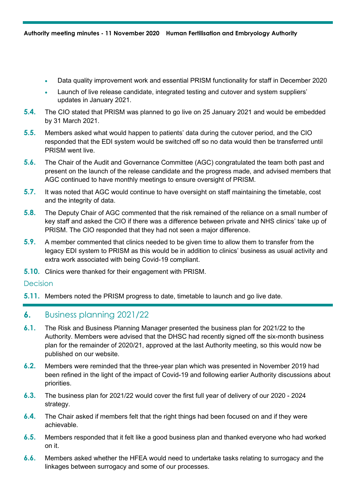- Data quality improvement work and essential PRISM functionality for staff in December 2020
- Launch of live release candidate, integrated testing and cutover and system suppliers' updates in January 2021.
- **5.4.** The CIO stated that PRISM was planned to go live on 25 January 2021 and would be embedded by 31 March 2021.
- **5.5.** Members asked what would happen to patients' data during the cutover period, and the CIO responded that the EDI system would be switched off so no data would then be transferred until PRISM went live.
- **5.6.** The Chair of the Audit and Governance Committee (AGC) congratulated the team both past and present on the launch of the release candidate and the progress made, and advised members that AGC continued to have monthly meetings to ensure oversight of PRISM.
- **5.7.** It was noted that AGC would continue to have oversight on staff maintaining the timetable, cost and the integrity of data.
- **5.8.** The Deputy Chair of AGC commented that the risk remained of the reliance on a small number of key staff and asked the CIO if there was a difference between private and NHS clinics' take up of PRISM. The CIO responded that they had not seen a major difference.
- **5.9.** A member commented that clinics needed to be given time to allow them to transfer from the legacy EDI system to PRISM as this would be in addition to clinics' business as usual activity and extra work associated with being Covid-19 compliant.
- **5.10.** Clinics were thanked for their engagement with PRISM.

#### **Decision**

**5.11.** Members noted the PRISM progress to date, timetable to launch and go live date.

#### **6.** Business planning 2021/22

- **6.1.** The Risk and Business Planning Manager presented the business plan for 2021/22 to the Authority. Members were advised that the DHSC had recently signed off the six-month business plan for the remainder of 2020/21, approved at the last Authority meeting, so this would now be published on our website.
- **6.2.** Members were reminded that the three-year plan which was presented in November 2019 had been refined in the light of the impact of Covid-19 and following earlier Authority discussions about priorities.
- **6.3.** The business plan for 2021/22 would cover the first full year of delivery of our 2020 2024 strategy.
- **6.4.** The Chair asked if members felt that the right things had been focused on and if they were achievable.
- **6.5.** Members responded that it felt like a good business plan and thanked everyone who had worked on it.
- **6.6.** Members asked whether the HFEA would need to undertake tasks relating to surrogacy and the linkages between surrogacy and some of our processes.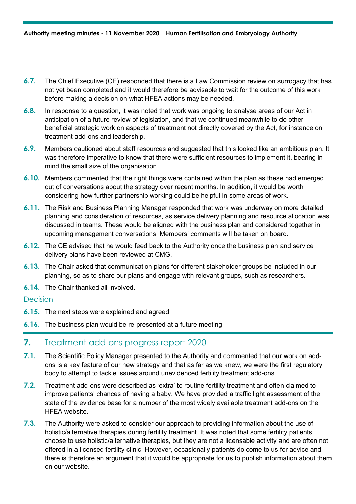- **6.7.** The Chief Executive (CE) responded that there is a Law Commission review on surrogacy that has not yet been completed and it would therefore be advisable to wait for the outcome of this work before making a decision on what HFEA actions may be needed.
- **6.8.** In response to a question, it was noted that work was ongoing to analyse areas of our Act in anticipation of a future review of legislation, and that we continued meanwhile to do other beneficial strategic work on aspects of treatment not directly covered by the Act, for instance on treatment add-ons and leadership.
- **6.9.** Members cautioned about staff resources and suggested that this looked like an ambitious plan. It was therefore imperative to know that there were sufficient resources to implement it, bearing in mind the small size of the organisation.
- **6.10.** Members commented that the right things were contained within the plan as these had emerged out of conversations about the strategy over recent months. In addition, it would be worth considering how further partnership working could be helpful in some areas of work.
- **6.11.** The Risk and Business Planning Manager responded that work was underway on more detailed planning and consideration of resources, as service delivery planning and resource allocation was discussed in teams. These would be aligned with the business plan and considered together in upcoming management conversations. Members' comments will be taken on board.
- **6.12.** The CE advised that he would feed back to the Authority once the business plan and service delivery plans have been reviewed at CMG.
- **6.13.** The Chair asked that communication plans for different stakeholder groups be included in our planning, so as to share our plans and engage with relevant groups, such as researchers.
- **6.14.** The Chair thanked all involved.

#### Decision

- **6.15.** The next steps were explained and agreed.
- **6.16.** The business plan would be re-presented at a future meeting.

## **7.** Treatment add-ons progress report 2020

- **7.1.** The Scientific Policy Manager presented to the Authority and commented that our work on addons is a key feature of our new strategy and that as far as we knew, we were the first regulatory body to attempt to tackle issues around unevidenced fertility treatment add-ons.
- **7.2.** Treatment add-ons were described as 'extra' to routine fertility treatment and often claimed to improve patients' chances of having a baby. We have provided a traffic light assessment of the state of the evidence base for a number of the most widely available treatment add-ons on the HFEA website.
- **7.3.** The Authority were asked to consider our approach to providing information about the use of holistic/alternative therapies during fertility treatment. It was noted that some fertility patients choose to use holistic/alternative therapies, but they are not a licensable activity and are often not offered in a licensed fertility clinic. However, occasionally patients do come to us for advice and there is therefore an argument that it would be appropriate for us to publish information about them on our website.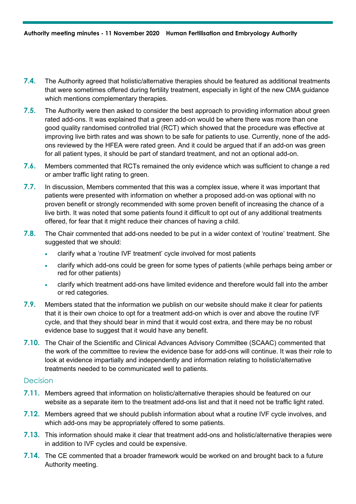- **7.4.** The Authority agreed that holistic/alternative therapies should be featured as additional treatments that were sometimes offered during fertility treatment, especially in light of the new CMA guidance which mentions complementary therapies.
- **7.5.** The Authority were then asked to consider the best approach to providing information about green rated add-ons. It was explained that a green add-on would be where there was more than one good quality randomised controlled trial (RCT) which showed that the procedure was effective at improving live birth rates and was shown to be safe for patients to use. Currently, none of the addons reviewed by the HFEA were rated green. And it could be argued that if an add-on was green for all patient types, it should be part of standard treatment, and not an optional add-on.
- **7.6.** Members commented that RCTs remained the only evidence which was sufficient to change a red or amber traffic light rating to green.
- **7.7.** In discussion, Members commented that this was a complex issue, where it was important that patients were presented with information on whether a proposed add-on was optional with no proven benefit or strongly recommended with some proven benefit of increasing the chance of a live birth. It was noted that some patients found it difficult to opt out of any additional treatments offered, for fear that it might reduce their chances of having a child.
- **7.8.** The Chair commented that add-ons needed to be put in a wider context of 'routine' treatment. She suggested that we should:
	- clarify what a 'routine IVF treatment' cycle involved for most patients
	- clarify which add-ons could be green for some types of patients (while perhaps being amber or red for other patients)
	- clarify which treatment add-ons have limited evidence and therefore would fall into the amber or red categories.
- **7.9.** Members stated that the information we publish on our website should make it clear for patients that it is their own choice to opt for a treatment add-on which is over and above the routine IVF cycle, and that they should bear in mind that it would cost extra, and there may be no robust evidence base to suggest that it would have any benefit.
- **7.10.** The Chair of the Scientific and Clinical Advances Advisory Committee (SCAAC) commented that the work of the committee to review the evidence base for add-ons will continue. It was their role to look at evidence impartially and independently and information relating to holistic/alternative treatments needed to be communicated well to patients.

#### Decision

- **7.11.** Members agreed that information on holistic/alternative therapies should be featured on our website as a separate item to the treatment add-ons list and that it need not be traffic light rated.
- **7.12.** Members agreed that we should publish information about what a routine IVF cycle involves, and which add-ons may be appropriately offered to some patients.
- **7.13.** This information should make it clear that treatment add-ons and holistic/alternative therapies were in addition to IVF cycles and could be expensive.
- **7.14.** The CE commented that a broader framework would be worked on and brought back to a future Authority meeting.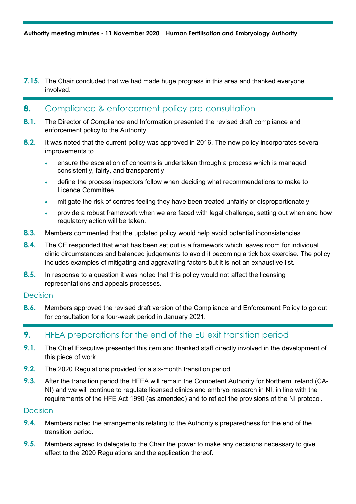**7.15.** The Chair concluded that we had made huge progress in this area and thanked everyone involved.

### **8.** Compliance & enforcement policy pre-consultation

- **8.1.** The Director of Compliance and Information presented the revised draft compliance and enforcement policy to the Authority.
- **8.2.** It was noted that the current policy was approved in 2016. The new policy incorporates several improvements to
	- ensure the escalation of concerns is undertaken through a process which is managed consistently, fairly, and transparently
	- define the process inspectors follow when deciding what recommendations to make to Licence Committee
	- mitigate the risk of centres feeling they have been treated unfairly or disproportionately
	- provide a robust framework when we are faced with legal challenge, setting out when and how regulatory action will be taken.
- **8.3.** Members commented that the updated policy would help avoid potential inconsistencies.
- **8.4.** The CE responded that what has been set out is a framework which leaves room for individual clinic circumstances and balanced judgements to avoid it becoming a tick box exercise. The policy includes examples of mitigating and aggravating factors but it is not an exhaustive list.
- **8.5.** In response to a question it was noted that this policy would not affect the licensing representations and appeals processes.

#### **Decision**

**8.6.** Members approved the revised draft version of the Compliance and Enforcement Policy to go out for consultation for a four-week period in January 2021.

### **9.** HFEA preparations for the end of the EU exit transition period

- **9.1.** The Chief Executive presented this item and thanked staff directly involved in the development of this piece of work.
- **9.2.** The 2020 Regulations provided for a six-month transition period.
- **9.3.** After the transition period the HFEA will remain the Competent Authority for Northern Ireland (CA-NI) and we will continue to regulate licensed clinics and embryo research in NI, in line with the requirements of the HFE Act 1990 (as amended) and to reflect the provisions of the NI protocol.

#### **Decision**

- **9.4.** Members noted the arrangements relating to the Authority's preparedness for the end of the transition period.
- **9.5.** Members agreed to delegate to the Chair the power to make any decisions necessary to give effect to the 2020 Regulations and the application thereof.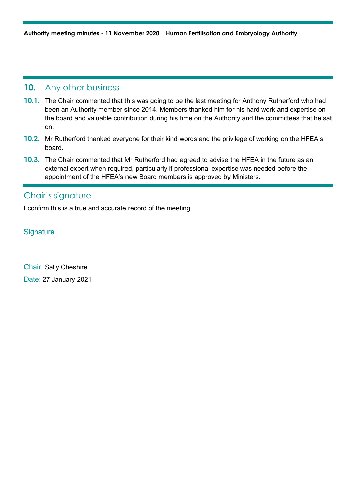#### **10.** Any other business

- **10.1.** The Chair commented that this was going to be the last meeting for Anthony Rutherford who had been an Authority member since 2014. Members thanked him for his hard work and expertise on the board and valuable contribution during his time on the Authority and the committees that he sat on.
- **10.2.** Mr Rutherford thanked everyone for their kind words and the privilege of working on the HFEA's board.
- **10.3.** The Chair commented that Mr Rutherford had agreed to advise the HFEA in the future as an external expert when required, particularly if professional expertise was needed before the appointment of the HFEA's new Board members is approved by Ministers.

## Chair's signature

I confirm this is a true and accurate record of the meeting.

**Signature** 

Chair: Sally Cheshire Date: 27 January 2021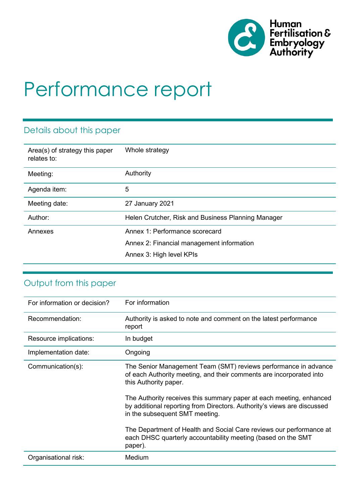

# Performance report

## Details about this paper

| Area(s) of strategy this paper<br>relates to: | Whole strategy                                                                                          |
|-----------------------------------------------|---------------------------------------------------------------------------------------------------------|
| Meeting:                                      | Authority                                                                                               |
| Agenda item:                                  | 5                                                                                                       |
| Meeting date:                                 | 27 January 2021                                                                                         |
| Author:                                       | Helen Crutcher, Risk and Business Planning Manager                                                      |
| Annexes                                       | Annex 1: Performance scorecard<br>Annex 2: Financial management information<br>Annex 3: High level KPIs |
|                                               |                                                                                                         |

# Output from this paper

| For information or decision? | For information                                                                                                                                                                  |  |  |
|------------------------------|----------------------------------------------------------------------------------------------------------------------------------------------------------------------------------|--|--|
| Recommendation:              | Authority is asked to note and comment on the latest performance<br>report                                                                                                       |  |  |
| Resource implications:       | In budget                                                                                                                                                                        |  |  |
| Implementation date:         | Ongoing                                                                                                                                                                          |  |  |
| Communication(s):            | The Senior Management Team (SMT) reviews performance in advance<br>of each Authority meeting, and their comments are incorporated into<br>this Authority paper.                  |  |  |
|                              | The Authority receives this summary paper at each meeting, enhanced<br>by additional reporting from Directors. Authority's views are discussed<br>in the subsequent SMT meeting. |  |  |
|                              | The Department of Health and Social Care reviews our performance at<br>each DHSC quarterly accountability meeting (based on the SMT<br>paper).                                   |  |  |
| Organisational risk:         | Medium                                                                                                                                                                           |  |  |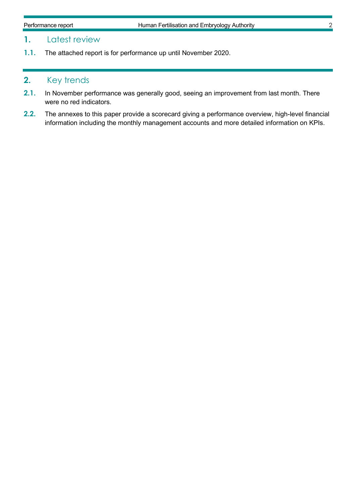## **1.** Latest review

**1.1.** The attached report is for performance up until November 2020.

## **2.** Key trends

- **2.1.** In November performance was generally good, seeing an improvement from last month. There were no red indicators.
- **2.2.** The annexes to this paper provide a scorecard giving a performance overview, high-level financial information including the monthly management accounts and more detailed information on KPIs.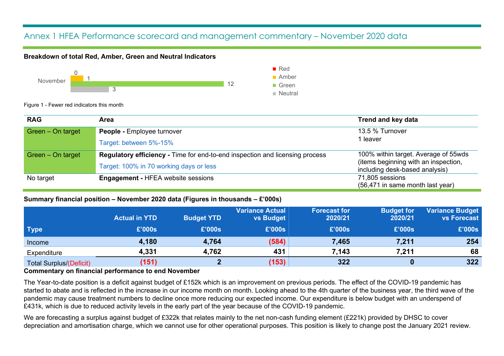## Annex 1 HFEA Performance scorecard and management commentary – November 2020 data

#### **Breakdown of total Red, Amber, Green and Neutral Indicators**



Figure 1 - Fewer red indicators this month

| <b>RAG</b>        | Area                                                                                | <b>Trend and key data</b>                                              |
|-------------------|-------------------------------------------------------------------------------------|------------------------------------------------------------------------|
| Green - On target | <b>People - Employee turnover</b>                                                   | 13.5 % Turnover                                                        |
|                   | Target: between 5%-15%                                                              | 1 leaver                                                               |
| Green - On target | <b>Regulatory efficiency - Time for end-to-end inspection and licensing process</b> | 100% within target. Average of 55wds                                   |
|                   | Target: 100% in 70 working days or less                                             | (items beginning with an inspection,<br>including desk-based analysis) |
| No target         | <b>Engagement - HFEA website sessions</b>                                           | 71,805 sessions                                                        |
|                   |                                                                                     | (56,471 in same month last year)                                       |

#### **Summary financial position – November 2020 data (Figures in thousands – £'000s)**

|                                | <b>Actual in YTD</b> | <b>Budget YTD</b> | <b>Variance Actual</b><br>vs Budget | <b>Forecast for</b><br>2020/21 | <b>Budget for</b><br>2020/21 | <b>Variance Budget</b><br><b>vs Forecast</b> |
|--------------------------------|----------------------|-------------------|-------------------------------------|--------------------------------|------------------------------|----------------------------------------------|
| <b>Type</b>                    | £'000s               | £'000s            | £'000s                              | £'000s                         | £'000s                       | £'000s                                       |
| <i><u>Income</u></i>           | 4,180                | 4,764             | (584)                               | 7,465                          | 7,211                        | 254                                          |
| Expenditure                    | 4,331                | 4,762             | 431                                 | 7,143                          | 7,211                        | 68                                           |
| <b>Total Surplus/(Deficit)</b> | (151)                |                   | (153)                               | 322                            |                              | 322                                          |

#### **Commentary on financial performance to end November**

The Year-to-date position is a deficit against budget of £152k which is an improvement on previous periods. The effect of the COVID-19 pandemic has started to abate and is reflected in the increase in our income month on month. Looking ahead to the 4th quarter of the business year, the third wave of the pandemic may cause treatment numbers to decline once more reducing our expected income. Our expenditure is below budget with an underspend of £431k, which is due to reduced activity levels in the early part of the year because of the COVID-19 pandemic.

We are forecasting a surplus against budget of £322k that relates mainly to the net non-cash funding element (£221k) provided by DHSC to cover depreciation and amortisation charge, which we cannot use for other operational purposes. This position is likely to change post the January 2021 review.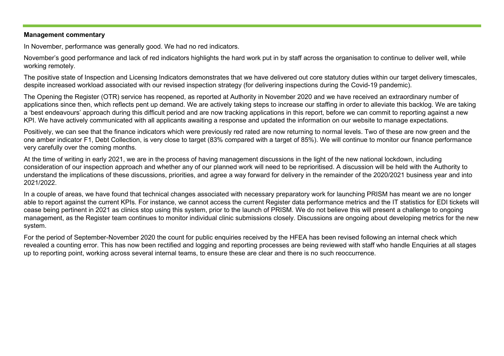#### **Management commentary**

In November, performance was generally good. We had no red indicators.

November's good performance and lack of red indicators highlights the hard work put in by staff across the organisation to continue to deliver well, while working remotely.

The positive state of Inspection and Licensing Indicators demonstrates that we have delivered out core statutory duties within our target delivery timescales, despite increased workload associated with our revised inspection strategy (for delivering inspections during the Covid-19 pandemic).

The Opening the Register (OTR) service has reopened, as reported at Authority in November 2020 and we have received an extraordinary number of applications since then, which reflects pent up demand. We are actively taking steps to increase our staffing in order to alleviate this backlog. We are taking a 'best endeavours' approach during this difficult period and are now tracking applications in this report, before we can commit to reporting against a new KPI. We have actively communicated with all applicants awaiting a response and updated the information on our website to manage expectations.

Positively, we can see that the finance indicators which were previously red rated are now returning to normal levels. Two of these are now green and the one amber indicator F1, Debt Collection, is very close to target (83% compared with a target of 85%). We will continue to monitor our finance performance very carefully over the coming months.

At the time of writing in early 2021, we are in the process of having management discussions in the light of the new national lockdown, including consideration of our inspection approach and whether any of our planned work will need to be reprioritised. A discussion will be held with the Authority to understand the implications of these discussions, priorities, and agree a way forward for delivery in the remainder of the 2020/2021 business year and into 2021/2022.

In a couple of areas, we have found that technical changes associated with necessary preparatory work for launching PRISM has meant we are no longer able to report against the current KPIs. For instance, we cannot access the current Register data performance metrics and the IT statistics for EDI tickets will cease being pertinent in 2021 as clinics stop using this system, prior to the launch of PRISM. We do not believe this will present a challenge to ongoing management, as the Register team continues to monitor individual clinic submissions closely. Discussions are ongoing about developing metrics for the new system.

For the period of September-November 2020 the count for public enquiries received by the HFEA has been revised following an internal check which revealed a counting error. This has now been rectified and logging and reporting processes are being reviewed with staff who handle Enquiries at all stages up to reporting point, working across several internal teams, to ensure these are clear and there is no such reoccurrence.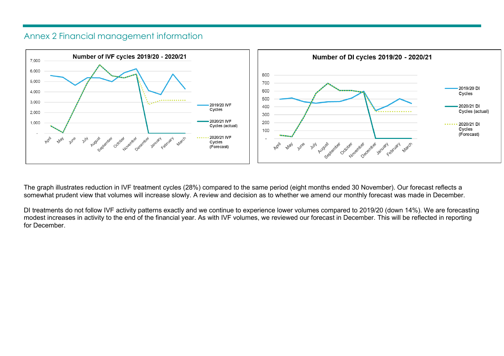### Annex 2 Financial management information



The graph illustrates reduction in IVF treatment cycles (28%) compared to the same period (eight months ended 30 November). Our forecast reflects a somewhat prudent view that volumes will increase slowly. A review and decision as to whether we amend our monthly forecast was made in December.

DI treatments do not follow IVF activity patterns exactly and we continue to experience lower volumes compared to 2019/20 (down 14%). We are forecasting modest increases in activity to the end of the financial year. As with IVF volumes, we reviewed our forecast in December. This will be reflected in reporting for December.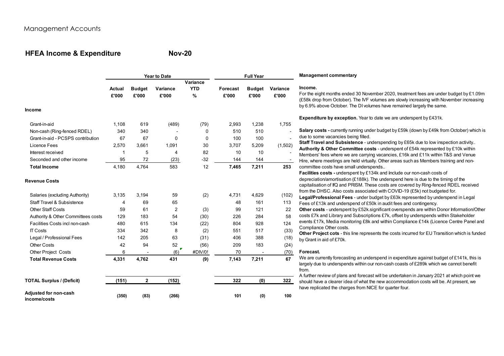## **HFEA Income & Expenditure**

**Nov-20**

| For the eight months ended 30 November 2020, treatment fees are under budget by $£1.09m$<br>(£58k drop from October). The IVF volumes are slowly increasing with November increasing<br>by 6.9% above October. The DI volumes have remained largely the same.<br><b>Expenditure by exception.</b> Year to date we are underspent by £431k.<br>Salary costs - currently running under budget by £59k (down by £49k from October) which is<br>Staff Travel and Subsistence - underspending by £65k due to low inspection activity<br>Authority & Other Committee costs - underspent of £54k represented by £10k within<br>Members' fees where we are carrying vacancies, £16k and £11k within T&S and Venue |
|-----------------------------------------------------------------------------------------------------------------------------------------------------------------------------------------------------------------------------------------------------------------------------------------------------------------------------------------------------------------------------------------------------------------------------------------------------------------------------------------------------------------------------------------------------------------------------------------------------------------------------------------------------------------------------------------------------------|
|                                                                                                                                                                                                                                                                                                                                                                                                                                                                                                                                                                                                                                                                                                           |
|                                                                                                                                                                                                                                                                                                                                                                                                                                                                                                                                                                                                                                                                                                           |
|                                                                                                                                                                                                                                                                                                                                                                                                                                                                                                                                                                                                                                                                                                           |
|                                                                                                                                                                                                                                                                                                                                                                                                                                                                                                                                                                                                                                                                                                           |
|                                                                                                                                                                                                                                                                                                                                                                                                                                                                                                                                                                                                                                                                                                           |
|                                                                                                                                                                                                                                                                                                                                                                                                                                                                                                                                                                                                                                                                                                           |
|                                                                                                                                                                                                                                                                                                                                                                                                                                                                                                                                                                                                                                                                                                           |
|                                                                                                                                                                                                                                                                                                                                                                                                                                                                                                                                                                                                                                                                                                           |
|                                                                                                                                                                                                                                                                                                                                                                                                                                                                                                                                                                                                                                                                                                           |
| Hire, where meetings are held virtually. Other areas such as Members training and non-                                                                                                                                                                                                                                                                                                                                                                                                                                                                                                                                                                                                                    |
|                                                                                                                                                                                                                                                                                                                                                                                                                                                                                                                                                                                                                                                                                                           |
| Facilities costs - underspent by £134k and include our non-cash costs of                                                                                                                                                                                                                                                                                                                                                                                                                                                                                                                                                                                                                                  |
| depreciation/amortisation (£188k). The underspend here is due to the timing of the                                                                                                                                                                                                                                                                                                                                                                                                                                                                                                                                                                                                                        |
| capitalisation of IfQ and PRISM. These costs are covered by Ring-fenced RDEL received                                                                                                                                                                                                                                                                                                                                                                                                                                                                                                                                                                                                                     |
| from the DHSC. Also costs associated with COVID-19 (£5k) not budgeted for.<br>Legal/Professional Fees - under budget by £63k represented by underspend in Legal                                                                                                                                                                                                                                                                                                                                                                                                                                                                                                                                           |
| Fees of £13k and underspend of £50k in audit fees and contingency.                                                                                                                                                                                                                                                                                                                                                                                                                                                                                                                                                                                                                                        |
| Other costs - underspent by £52k.significant overspends are within Donor Information/Other                                                                                                                                                                                                                                                                                                                                                                                                                                                                                                                                                                                                                |
| costs £7k and Library and Subscriptions £7k, offset by underspends within Stakeholder                                                                                                                                                                                                                                                                                                                                                                                                                                                                                                                                                                                                                     |
| events £17k, Media monitoring £8k and within Compliance £14k (Licence Centre Panel and                                                                                                                                                                                                                                                                                                                                                                                                                                                                                                                                                                                                                    |
|                                                                                                                                                                                                                                                                                                                                                                                                                                                                                                                                                                                                                                                                                                           |
| Other Project cots - this line represents the costs incurred for EU Transition which is funded                                                                                                                                                                                                                                                                                                                                                                                                                                                                                                                                                                                                            |
|                                                                                                                                                                                                                                                                                                                                                                                                                                                                                                                                                                                                                                                                                                           |
|                                                                                                                                                                                                                                                                                                                                                                                                                                                                                                                                                                                                                                                                                                           |
| We are currently forecasting an underspend in expenditure against budget of $£141k$ , this is                                                                                                                                                                                                                                                                                                                                                                                                                                                                                                                                                                                                             |
| largely due to underspends within our non-cash coasts of £289k which we cannot benefit                                                                                                                                                                                                                                                                                                                                                                                                                                                                                                                                                                                                                    |
| A further review of plans and forecast will be undertaken in January 2021 at which point we                                                                                                                                                                                                                                                                                                                                                                                                                                                                                                                                                                                                               |
| should have a clearer idea of what the new accommodation costs will be. At present, we                                                                                                                                                                                                                                                                                                                                                                                                                                                                                                                                                                                                                    |
| have replicated the charges from NICE for quarter four.                                                                                                                                                                                                                                                                                                                                                                                                                                                                                                                                                                                                                                                   |
|                                                                                                                                                                                                                                                                                                                                                                                                                                                                                                                                                                                                                                                                                                           |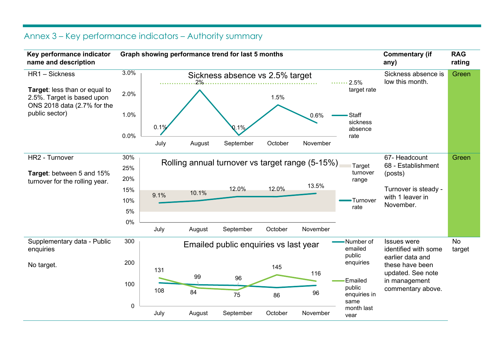## Annex 3 – Key performance indicators – Authority summary

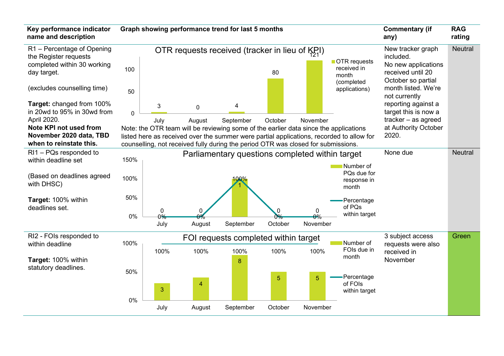| Key performance indicator<br>name and description                                                                                                       |                |                           |                       | Graph showing performance trend for last 5 months                                                                                                                                                                                                                                       |                |                    |                                                    | <b>Commentary (if</b><br>any)                                                                                           | <b>RAG</b><br>rating |
|---------------------------------------------------------------------------------------------------------------------------------------------------------|----------------|---------------------------|-----------------------|-----------------------------------------------------------------------------------------------------------------------------------------------------------------------------------------------------------------------------------------------------------------------------------------|----------------|--------------------|----------------------------------------------------|-------------------------------------------------------------------------------------------------------------------------|----------------------|
| R1 - Percentage of Opening<br>the Register requests<br>completed within 30 working<br>day target.<br>(excludes counselling time)                        | 100            |                           |                       | OTR requests received (tracker in lieu of $K_{7}$ I)                                                                                                                                                                                                                                    | 80             |                    | OTR requests<br>received in<br>month<br>(completed | New tracker graph<br>included.<br>No new applications<br>received until 20<br>October so partial<br>month listed. We're | <b>Neutral</b>       |
| Target: changed from 100%<br>in 20wd to 95% in 30wd from<br>April 2020.<br>Note KPI not used from<br>November 2020 data, TBD<br>when to reinstate this. | 50<br>$\Omega$ | 3<br>July                 | $\mathbf 0$<br>August | 4<br>September<br>Note: the OTR team will be reviewing some of the earlier data since the applications<br>listed here as received over the summer were partial applications, recorded to allow for<br>counselling, not received fully during the period OTR was closed for submissions. | October        | November           | applications)                                      | not currently<br>reporting against a<br>target this is now a<br>tracker - as agreed<br>at Authority October<br>2020.    |                      |
| $RI1 - PQs$ responded to<br>within deadline set                                                                                                         | 150%           |                           |                       | Parliamentary questions completed within target                                                                                                                                                                                                                                         |                |                    |                                                    | None due                                                                                                                | <b>Neutral</b>       |
| (Based on deadlines agreed<br>with DHSC)                                                                                                                | 100%           |                           |                       | 00%                                                                                                                                                                                                                                                                                     |                |                    | Number of<br>PQs due for<br>response in<br>month   |                                                                                                                         |                      |
| Target: 100% within<br>deadlines set.                                                                                                                   | 50%            |                           |                       |                                                                                                                                                                                                                                                                                         |                |                    | Percentage<br>of PQs                               |                                                                                                                         |                      |
|                                                                                                                                                         | 0%             | $\mathbf 0$<br>0%<br>July | August                | September                                                                                                                                                                                                                                                                               | 0<br>October   | 0<br>ഛ<br>November | within target                                      |                                                                                                                         |                      |
| RI2 - FOIs responded to<br>within deadline                                                                                                              | 100%           |                           |                       | FOI requests completed within target                                                                                                                                                                                                                                                    |                |                    | Number of                                          | 3 subject access<br>requests were also                                                                                  | Green                |
| Target: 100% within                                                                                                                                     |                | 100%                      | 100%                  | 100%<br>8                                                                                                                                                                                                                                                                               | 100%           | 100%               | FOIs due in<br>month                               | received in<br>November                                                                                                 |                      |
| statutory deadlines.                                                                                                                                    | 50%<br>0%      | 3                         | $\overline{4}$        |                                                                                                                                                                                                                                                                                         | $\overline{5}$ | $\overline{5}$     | Percentage<br>of FOIs<br>within target             |                                                                                                                         |                      |
|                                                                                                                                                         |                | July                      | August                | September                                                                                                                                                                                                                                                                               | October        | November           |                                                    |                                                                                                                         |                      |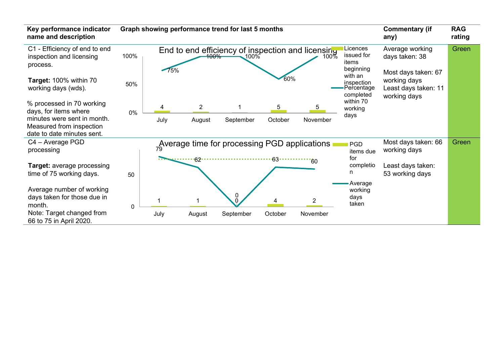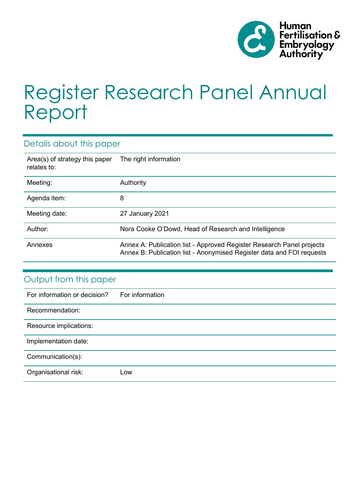

# Register Research Panel Annual Report

## Details about this paper

| Area(s) of strategy this paper<br>relates to: | The right information                                                                                                                          |
|-----------------------------------------------|------------------------------------------------------------------------------------------------------------------------------------------------|
| Meeting:                                      | Authority                                                                                                                                      |
| Agenda item:                                  | 8                                                                                                                                              |
| Meeting date:                                 | 27 January 2021                                                                                                                                |
| Author:                                       | Nora Cooke O'Dowd, Head of Research and Intelligence                                                                                           |
| Annexes                                       | Annex A: Publication list - Approved Register Research Panel projects<br>Annex B: Publication list - Anonymised Register data and FOI requests |

| Output from this paper       |                 |  |  |  |  |
|------------------------------|-----------------|--|--|--|--|
| For information or decision? | For information |  |  |  |  |
| Recommendation:              |                 |  |  |  |  |
| Resource implications:       |                 |  |  |  |  |
| Implementation date:         |                 |  |  |  |  |
| Communication(s):            |                 |  |  |  |  |
| Organisational risk:         | Low             |  |  |  |  |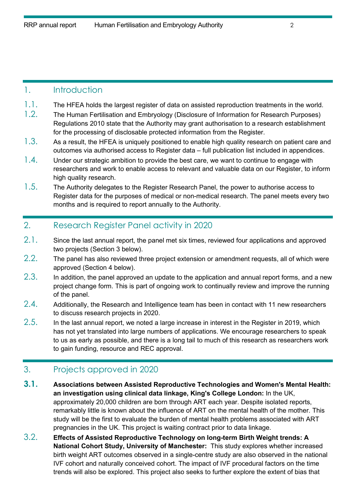#### 1. Introduction

- 1.1. The HFEA holds the largest register of data on assisted reproduction treatments in the world.
- 1.2. The Human Fertilisation and Embryology (Disclosure of Information for Research Purposes) Regulations 2010 state that the Authority may grant authorisation to a research establishment for the processing of disclosable protected information from the Register.
- 1.3. As a result, the HFEA is uniquely positioned to enable high quality research on patient care and outcomes via authorised access to Register data – full publication list included in appendices.
- $1.4.$  Under our strategic ambition to provide the best care, we want to continue to engage with researchers and work to enable access to relevant and valuable data on our Register, to inform high quality research.
- 1.5. The Authority delegates to the Register Research Panel, the power to authorise access to Register data for the purposes of medical or non-medical research. The panel meets every two months and is required to report annually to the Authority.

#### 2. Research Register Panel activity in 2020

- 2.1. Since the last annual report, the panel met six times, reviewed four applications and approved two projects (Section 3 below).
- $2.2.$  The panel has also reviewed three project extension or amendment requests, all of which were approved (Section 4 below).
- $2.3.$  In addition, the panel approved an update to the application and annual report forms, and a new project change form. This is part of ongoing work to continually review and improve the running of the panel.
- $2.4.$  Additionally, the Research and Intelligence team has been in contact with 11 new researchers to discuss research projects in 2020.
- $2.5.$  In the last annual report, we noted a large increase in interest in the Register in 2019, which has not yet translated into large numbers of applications. We encourage researchers to speak to us as early as possible, and there is a long tail to much of this research as researchers work to gain funding, resource and REC approval.

## 3. Projects approved in 2020

- **3.1. Associations between Assisted Reproductive Technologies and Women's Mental Health: an investigation using clinical data linkage, King's College London:** In the UK, approximately 20,000 children are born through ART each year. Despite isolated reports, remarkably little is known about the influence of ART on the mental health of the mother. This study will be the first to evaluate the burden of mental health problems associated with ART pregnancies in the UK. This project is waiting contract prior to data linkage.
- 3.2. **Effects of Assisted Reproductive Technology on long-term Birth Weight trends: A National Cohort Study, University of Manchester:** This study explores whether increased birth weight ART outcomes observed in a single-centre study are also observed in the national IVF cohort and naturally conceived cohort. The impact of IVF procedural factors on the time trends will also be explored. This project also seeks to further explore the extent of bias that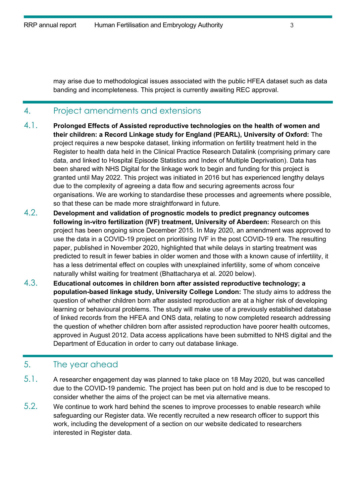may arise due to methodological issues associated with the public HFEA dataset such as data banding and incompleteness. This project is currently awaiting REC approval.

#### 4. Project amendments and extensions

- 4.1. **Prolonged Effects of Assisted reproductive technologies on the health of women and their children: a Record Linkage study for England (PEARL), University of Oxford:** The project requires a new bespoke dataset, linking information on fertility treatment held in the Register to health data held in the Clinical Practice Research Datalink (comprising primary care data, and linked to Hospital Episode Statistics and Index of Multiple Deprivation). Data has been shared with NHS Digital for the linkage work to begin and funding for this project is granted until May 2022. This project was initiated in 2016 but has experienced lengthy delays due to the complexity of agreeing a data flow and securing agreements across four organisations. We are working to standardise these processes and agreements where possible, so that these can be made more straightforward in future.
- 4.2. **Development and validation of prognostic models to predict pregnancy outcomes following in-vitro fertilization (IVF) treatment, University of Aberdeen:** Research on this project has been ongoing since December 2015. In May 2020, an amendment was approved to use the data in a COVID-19 project on prioritising IVF in the post COVID-19 era. The resulting paper, published in November 2020, highlighted that while delays in starting treatment was predicted to result in fewer babies in older women and those with a known cause of infertility, it has a less detrimental effect on couples with unexplained infertility, some of whom conceive naturally whilst waiting for treatment (Bhattacharya et al. 2020 below).
- 4.3. **Educational outcomes in children born after assisted reproductive technology; a population-based linkage study, University College London:** The study aims to address the question of whether children born after assisted reproduction are at a higher risk of developing learning or behavioural problems. The study will make use of a previously established database of linked records from the HFEA and ONS data, relating to now completed research addressing the question of whether children born after assisted reproduction have poorer health outcomes, approved in August 2012. Data access applications have been submitted to NHS digital and the Department of Education in order to carry out database linkage.

## 5. The year ahead

- 5.1. A researcher engagement day was planned to take place on 18 May 2020, but was cancelled due to the COVID-19 pandemic. The project has been put on hold and is due to be rescoped to consider whether the aims of the project can be met via alternative means.
- 5.2. We continue to work hard behind the scenes to improve processes to enable research while safeguarding our Register data. We recently recruited a new research officer to support this work, including the development of a section on our website dedicated to researchers interested in Register data.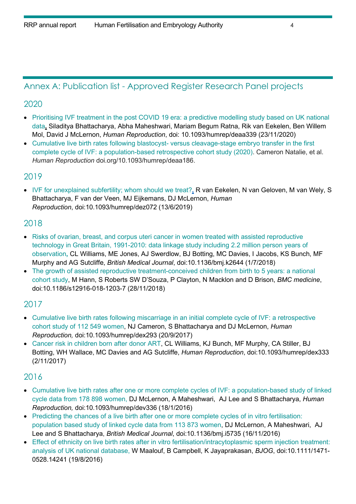## Annex A: Publication list - Approved Register Research Panel projects

#### 2020

- [Prioritising IVF treatment in the post COVID 19 era: a predictive modelling study based on UK national](https://academic.oup.com/humrep/advance-article/doi/10.1093/humrep/deaa339/5998652?searchresult=1#supplementary-data)  [data](https://academic.oup.com/humrep/advance-article/doi/10.1093/humrep/deaa339/5998652?searchresult=1#supplementary-data)**,** Siladitya Bhattacharya, Abha Maheshwari, Mariam Begum Ratna, Rik van Eekelen, Ben Willem Mol, David J McLernon, *Human Reproduction*, doi: 10.1093/humrep/deaa339 (23/11/2020)
- Cumulative live birth rates following blastocyst- [versus cleavage-stage embryo transfer in the first](https://abdn.pure.elsevier.com/en/publications/cumulative-live-birth-rates-following-blastocyst-versus-cleavage-)  [complete cycle of IVF: a population-based retrospective cohort study \(2020\).](https://abdn.pure.elsevier.com/en/publications/cumulative-live-birth-rates-following-blastocyst-versus-cleavage-) Cameron Natalie, et al. *Human Reproduction* doi.org/10.1093/humrep/deaa186.

#### 2019

• IVF for unexplained [subfertility; whom should we treat?](https://academic.oup.com/humrep/article-abstract/34/7/1249/5514324?redirectedFrom=fulltext)**,** R van Eekelen, N van Geloven, M van Wely, S Bhattacharya, F van der Veen, MJ Eijkemans, DJ McLernon, *Human Reproduction*, doi:10.1093/humrep/dez072 (13/6/2019)

### 2018

- [Risks of ovarian, breast, and corpus uteri cancer in women treated with assisted reproductive](https://discovery.ucl.ac.uk/id/eprint/10052851/)  [technology in Great Britain, 1991-2010: data linkage study including 2.2 million person years of](https://discovery.ucl.ac.uk/id/eprint/10052851/)  [observation](https://discovery.ucl.ac.uk/id/eprint/10052851/)**,** CL Williams, ME Jones, AJ Swerdlow, BJ Botting, MC Davies, I Jacobs, KS Bunch, MF Murphy and AG Sutcliffe, *British Medical Journal*, doi:10.1136/bmj.k2644 (1/7/2018)
- [The growth of assisted reproductive treatment-conceived children from birth to 5 years: a national](https://bmcmedicine.biomedcentral.com/articles/10.1186/s12916-018-1203-7)  [cohort study,](https://bmcmedicine.biomedcentral.com/articles/10.1186/s12916-018-1203-7) M Hann, S Roberts SW D'Souza, P Clayton, N Macklon and D Brison, *BMC medicine*, [doi:10.1186/s12916-018-1203-7](https://doi.org/10.1186/s12916-018-1203-7) (28/11/2018)

### 2017

- [Cumulative live birth rates following miscarriage in an initial complete cycle of IVF: a retrospective](https://academic.oup.com/humrep/article-abstract/doi/10.1093/humrep/dex293/4157548/Cumulative-live-birth-rates-following-miscarriage?redirectedFrom=fulltext)  [cohort study of 112 549 women,](https://academic.oup.com/humrep/article-abstract/doi/10.1093/humrep/dex293/4157548/Cumulative-live-birth-rates-following-miscarriage?redirectedFrom=fulltext) NJ Cameron, S Bhattacharya and DJ McLernon, *Human Reproduction,* [doi:10.1093/humrep/dex293](https://doi.org/10.1093/humrep/dex293) (20/9/2017)
- [Cancer risk in children born after donor ART,](https://academic.oup.com/humrep/article/33/1/140/4584990) CL Williams, KJ Bunch, MF Murphy, CA Stiller, BJ Botting, WH Wallace, MC Davies and AG Sutcliffe, *Human Reproduction*, [doi:10.1093/humrep/dex333](https://doi.org/10.1093/humrep/dex333) (2/11/2017)

## 2016

- [Cumulative live birth rates after one or more complete cycles of IVF: a population-based study of linked](https://academic.oup.com/humrep/article/31/3/572/2384747)  [cycle data from 178 898 women,](https://academic.oup.com/humrep/article/31/3/572/2384747) DJ McLernon, A Maheshwari, AJ Lee and S Bhattacharya, *Human Reproduction,* doi[:10.1093/humrep/dev336](https://doi.org/10.1093/humrep/dev336) (18/1/2016)
- [Predicting the chances of a live birth after one or more complete cycles of in vitro fertilisation:](https://www.bmj.com/content/355/bmj.i5735?__cf_chl_jschl_tk__=03dd995bd2b682401a263105801ff1d122ccfe41-1595787306-0-ASh5NR__P8nBImugzVBCvaEWdkSnhr_JzBA7kZ_MVZWzEdamBXa6ulc2eXxLkBneSDK9dHVJtkek6aHC_8RwGDeOFO5SdsSWU-X4MyRXV1Bi2OWh9ZUhrWt5T8NC5rYGeT7epzEmyVebf1fplVe7jdRiUXRvVdl1wYJRwTHHQnowesF9vAEyhCPYfOUQ3cGyEJrn5hrOvQG8PVqHK9H-D70gRaDLBtmVnShLyLu3bTjm0eoPeaS42_OV8rRSNOwCu5GKcLbs4A_sf7v5TxQlQhOjugEo5EVUlE5c3gStDSR9)  [population based study of linked cycle data from 113 873 women,](https://www.bmj.com/content/355/bmj.i5735?__cf_chl_jschl_tk__=03dd995bd2b682401a263105801ff1d122ccfe41-1595787306-0-ASh5NR__P8nBImugzVBCvaEWdkSnhr_JzBA7kZ_MVZWzEdamBXa6ulc2eXxLkBneSDK9dHVJtkek6aHC_8RwGDeOFO5SdsSWU-X4MyRXV1Bi2OWh9ZUhrWt5T8NC5rYGeT7epzEmyVebf1fplVe7jdRiUXRvVdl1wYJRwTHHQnowesF9vAEyhCPYfOUQ3cGyEJrn5hrOvQG8PVqHK9H-D70gRaDLBtmVnShLyLu3bTjm0eoPeaS42_OV8rRSNOwCu5GKcLbs4A_sf7v5TxQlQhOjugEo5EVUlE5c3gStDSR9) DJ McLernon, A Maheshwari, AJ Lee and S Bhattacharya, *British Medical Journal*, doi[:10.1136/bmj.i5735](https://doi.org/10.1136/bmj.i5735) (16/11/2016)
- Effect of ethnicity on live birth rates after in [vitro fertilisation/intracytoplasmic sperm injection treatment:](https://obgyn.onlinelibrary.wiley.com/doi/full/10.1111/1471-0528.14241)  [analysis of UK national database,](https://obgyn.onlinelibrary.wiley.com/doi/full/10.1111/1471-0528.14241) W Maalouf, B Campbell, K Jayaprakasan, *BJOG*, doi:10.1111/1471- 0528.14241 (19/8/2016)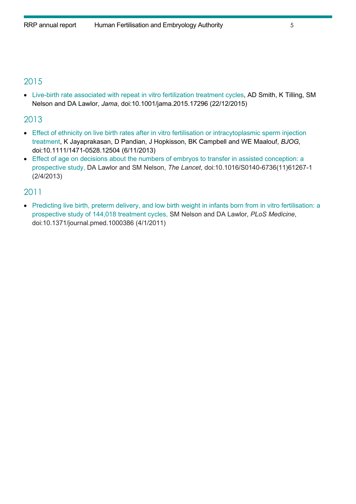## 2015

• [Live-birth rate associated with repeat in vitro fertilization treatment cycles,](https://jamanetwork.com/journals/jama/fullarticle/2478204) AD Smith, K Tilling, SM Nelson and DA Lawlor, *Jama*, doi:10.1001/jama.2015.17296 (22/12/2015)

## 2013

- [Effect of ethnicity on live birth rates after in vitro fertilisation or intracytoplasmic sperm injection](https://obgyn.onlinelibrary.wiley.com/doi/pdf/10.1111/1471-0528.12504)  [treatment,](https://obgyn.onlinelibrary.wiley.com/doi/pdf/10.1111/1471-0528.12504) K Jayaprakasan, D Pandian, J Hopkisson, BK Campbell and WE Maalouf, *BJOG,* doi:10.1111/1471-0528.12504 (6/11/2013)
- [Effect of age on decisions about the numbers of embryos to transfer in assisted conception: a](https://www.thelancet.com/journals/lancet/article/PIIS0140-6736(11)61267-1/fulltext)  [prospective study,](https://www.thelancet.com/journals/lancet/article/PIIS0140-6736(11)61267-1/fulltext) DA Lawlor and SM Nelson, *The Lancet*, doi:10.1016/S0140-6736(11)61267-1 (2/4/2013)

### 2011

• [Predicting live birth, preterm delivery, and low birth weight in infants born from in vitro fertilisation: a](https://journals.plos.org/plosmedicine/article?id=10.1371/journal.pmed.1000386)  [prospective study of 144,018 treatment cycles,](https://journals.plos.org/plosmedicine/article?id=10.1371/journal.pmed.1000386) SM Nelson and DA Lawlor, *PLoS Medicine*, doi:10.1371/journal.pmed.1000386 (4/1/2011)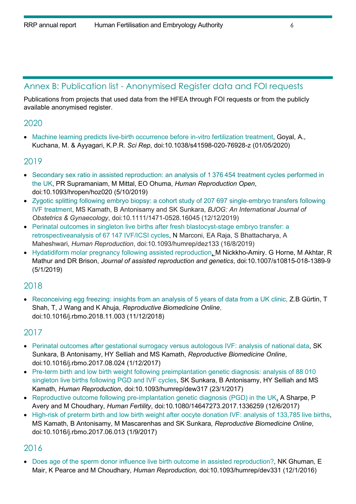### Annex B: Publication list - Anonymised Register data and FOI requests

Publications from projects that used data from the HFEA through FOI requests or from the publicly available anonymised register.

#### 2020

• [Machine learning predicts live-birth occurrence before in-vitro fertilization treatment,](https://www.nature.com/articles/s41598-020-76928-z) Goyal, A., Kuchana, M. & Ayyagari, K.P.R. *Sci Rep*, doi:10.1038/s41598-020-76928-z (01/05/2020)

#### 2019

- Secondary sex ratio in assisted [reproduction:](https://academic.oup.com/hropen/article/2019/4/hoz020/5581648) an analysis of 1 376 454 treatment cycles performed in the [UK,](https://academic.oup.com/hropen/article/2019/4/hoz020/5581648) PR Supramaniam, M Mittal, EO Ohuma, *Human Reproduction Open*, doi:10.1093/hropen/hoz020 (5/10/2019)
- Zygotic splitting following embryo biopsy: a cohort study of 207 697 single-embryo [transfers](https://obgyn.onlinelibrary.wiley.com/doi/full/10.1111/1471-0528.16045) following IVF [treatment,](https://obgyn.onlinelibrary.wiley.com/doi/full/10.1111/1471-0528.16045) MS Kamath, B Antonisamy and SK Sunkara, *BJOG: An International Journal of Obstetrics & Gynaecology*, [doi:10.1111/1471-0528.16045](https://doi.org/10.1111/1471-0528.16045) (12/12/2019)
- [Perinatal outcomes in singleton live births after fresh blastocyst-stage embryo transfer: a](https://academic.oup.com/humrep/article-abstract/34/9/1716/5550309?redirectedFrom=fulltext)  [retrospectiveanalysis of 67 147 IVF/ICSI cycles](https://academic.oup.com/humrep/article-abstract/34/9/1716/5550309?redirectedFrom=fulltext), N Marconi, EA Raja, S Bhattacharya, A Maheshwari, *Human Reproduction*, doi:10.1093/humrep/dez133 (16/8/2019)
- [Hydatidiform molar pregnancy following assisted reproduction,](https://link.springer.com/article/10.1007/s10815-018-1389-9) M Nickkho-Amiry. G Horne, M Akhtar, R Mathur and DR Brison, *Journal of assisted reproduction and genetics*, doi:10.1007/s10815-018-1389-9 (5/1/2019)

### 2018

• [Reconceiving](https://discovery.ucl.ac.uk/id/eprint/10069267/16/Gurtin%20et%20al.%20Reconceiving%20egg%20freezing%20-%20MANUSCRIPT%20-%20for%20RPS.pdf) egg freezing: insights from an analysis of 5 years of data from a UK clinic, Z.B Gürtin, T Shah, T, J Wang and K Ahuja, *Reproductive Biomedicine Online*, doi:10.1016/j.rbmo.2018.11.003 (11/12/2018)

## 2017

- [Perinatal outcomes after gestational surrogacy versus autologous IVF: analysis of national data,](http://www.sciencedirect.com/science/article/pii/S1472648317304157) SK Sunkara, B Antonisamy, HY Selliah and MS Kamath, *Reproductive Biomedicine Online*, doi:10.1016/j.rbmo.2017.08.024 (1/12/2017)
- [Pre-term birth and low birth weight following preimplantation genetic diagnosis: analysis of 88 010](https://academic.oup.com/humrep/article-abstract/32/2/432/2691435/Pre-term-birth-and-low-birth-weight-following?redirectedFrom=fulltext)  [singleton live births following PGD and IVF cycles,](https://academic.oup.com/humrep/article-abstract/32/2/432/2691435/Pre-term-birth-and-low-birth-weight-following?redirectedFrom=fulltext) SK Sunkara, B Antonisamy, HY Selliah and MS Kamath, *Human Reproduction*, doi[:10.1093/humrep/dew317](https://doi.org/10.1093/humrep/dew317) (23/1/2017)
- [Reproductive outcome following pre-implantation genetic diagnosis](http://www.tandfonline.com/doi/full/10.1080/14647273.2017.1336259?src=recsys) (PGD) in the UK**,** A Sharpe, P Avery and M Choudhary, *Human Fertility*, doi[:10.1080/14647273.2017.1336259](https://doi.org/10.1080/14647273.2017.1336259) (12/6/2017)
- [High-risk of preterm birth and low birth weight after oocyte donation IVF: analysis of 133,785 live births,](http://www.sciencedirect.com/science/article/pii/S1472648317302663) MS Kamath, B Antonisamy, M Mascarenhas and SK Sunkara, *Reproductive Biomedicine Online*, doi:10.1016/j.rbmo.2017.06.013 (1/9/2017)

### 2016

• [Does age of the sperm donor influence live birth outcome in assisted reproduction?,](https://academic.oup.com/humrep/article/31/3/582/2384700) NK Ghuman, E Mair, K Pearce and M Choudhary, *Human Reproduction,* doi:10.1093/humrep/dev331 (12/1/2016)